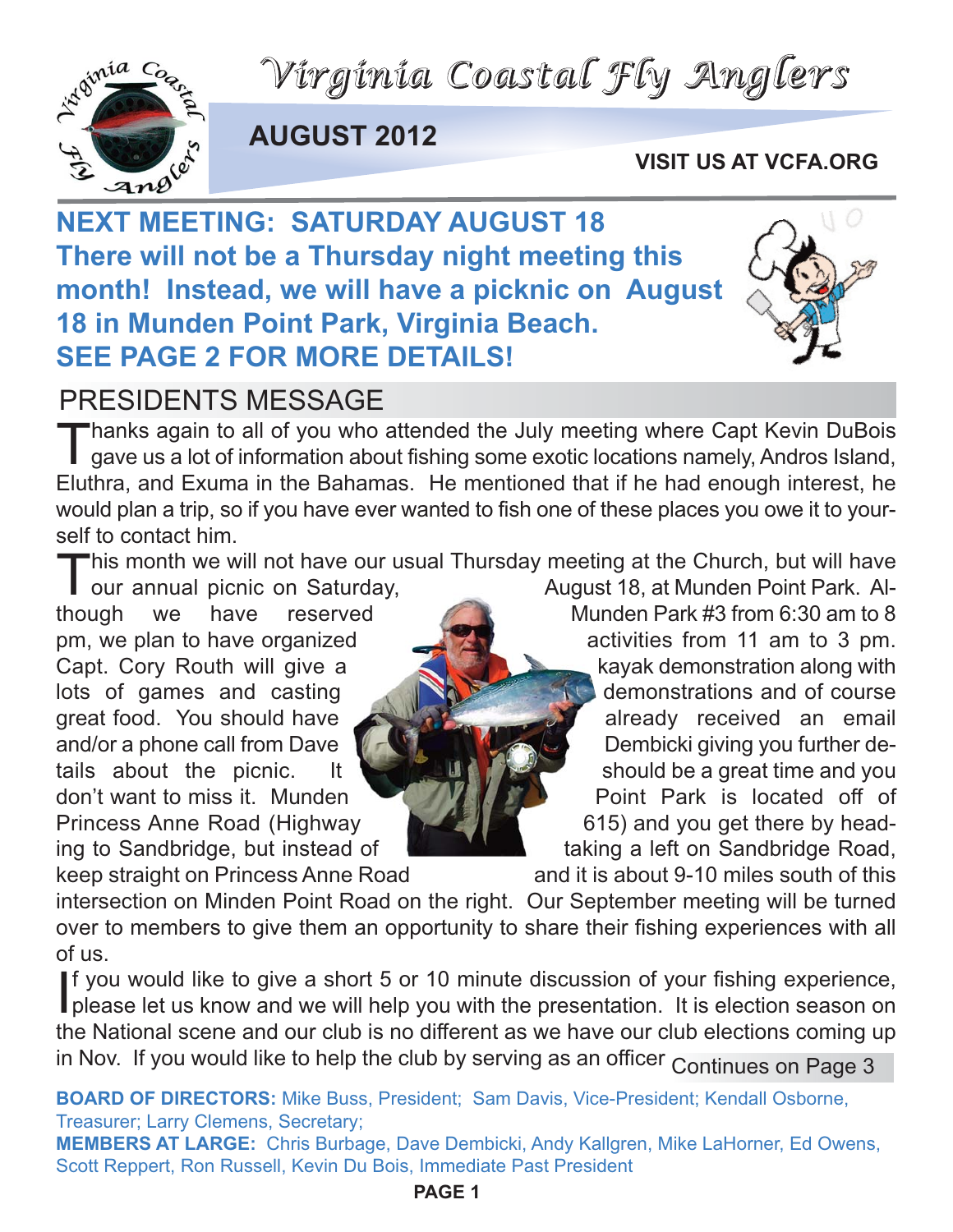*Virginia Coastal Fly Anglers*



**AUGUST 2012**

#### **VISIT US AT VCFA.ORG**

**NEXT MEETING: SATURDAY AUGUST 18 There will not be a Thursday night meeting this month! Instead, we will have a picknic on August 18 in Munden Point Park, Virginia Beach. SEE PAGE 2 FOR MORE DETAILS!**



### PRESIDENTS MESSAGE

Thanks again to all of you who attended the July meeting where Capt Kevin DuBois<br>gave us a lot of information about fishing some exotic locations namely, Andros Island, Eluthra, and Exuma in the Bahamas. He mentioned that if he had enough interest, he would plan a trip, so if you have ever wanted to fish one of these places you owe it to yourself to contact him.

This month we will not have our usual Thursday meeting at the Church, but will have<br>our annual picnic on Saturday,<br>though we have reserved Munden Park #3 from 6:30 am to 8

August 18, at Munden Point Park. Al-Munden Park #3 from 6:30 am to 8 pm, we plan to have organized activities from 11 am to 3 pm. Capt. Cory Routh will give a kayak demonstration along with lots of games and casting  $\mathbb{R}$  demonstrations and of course great food. You should have **a ready received** an email and/or a phone call from Dave **Dembicki giving you further de**tails about the picnic. It should be a great time and you don't want to miss it. Munden **Provident Point Park is located off of** Princess Anne Road (Highway 615) and you get there by heading to Sandbridge, but instead of **the same of the taking a left on Sandbridge Road**,

keep straight on Princess Anne Road and it is about 9-10 miles south of this intersection on Minden Point Road on the right. Our September meeting will be turned over to members to give them an opportunity to share their fishing experiences with all of us.

If you would like to give a short 5 or 10 minute discussion of your fishing experience,<br>please let us know and we will help you with the presentation. It is election season on f you would like to give a short 5 or 10 minute discussion of your fishing experience, the National scene and our club is no different as we have our club elections coming up in Nov. If you would like to help the club by serving as an officer Continues on Page 3

**BOARD OF DIRECTORS:** Mike Buss, President; Sam Davis, Vice-President; Kendall Osborne, Treasurer; Larry Clemens, Secretary;

**MEMBERS AT LARGE:** Chris Burbage, Dave Dembicki, Andy Kallgren, Mike LaHorner, Ed Owens, Scott Reppert, Ron Russell, Kevin Du Bois, Immediate Past President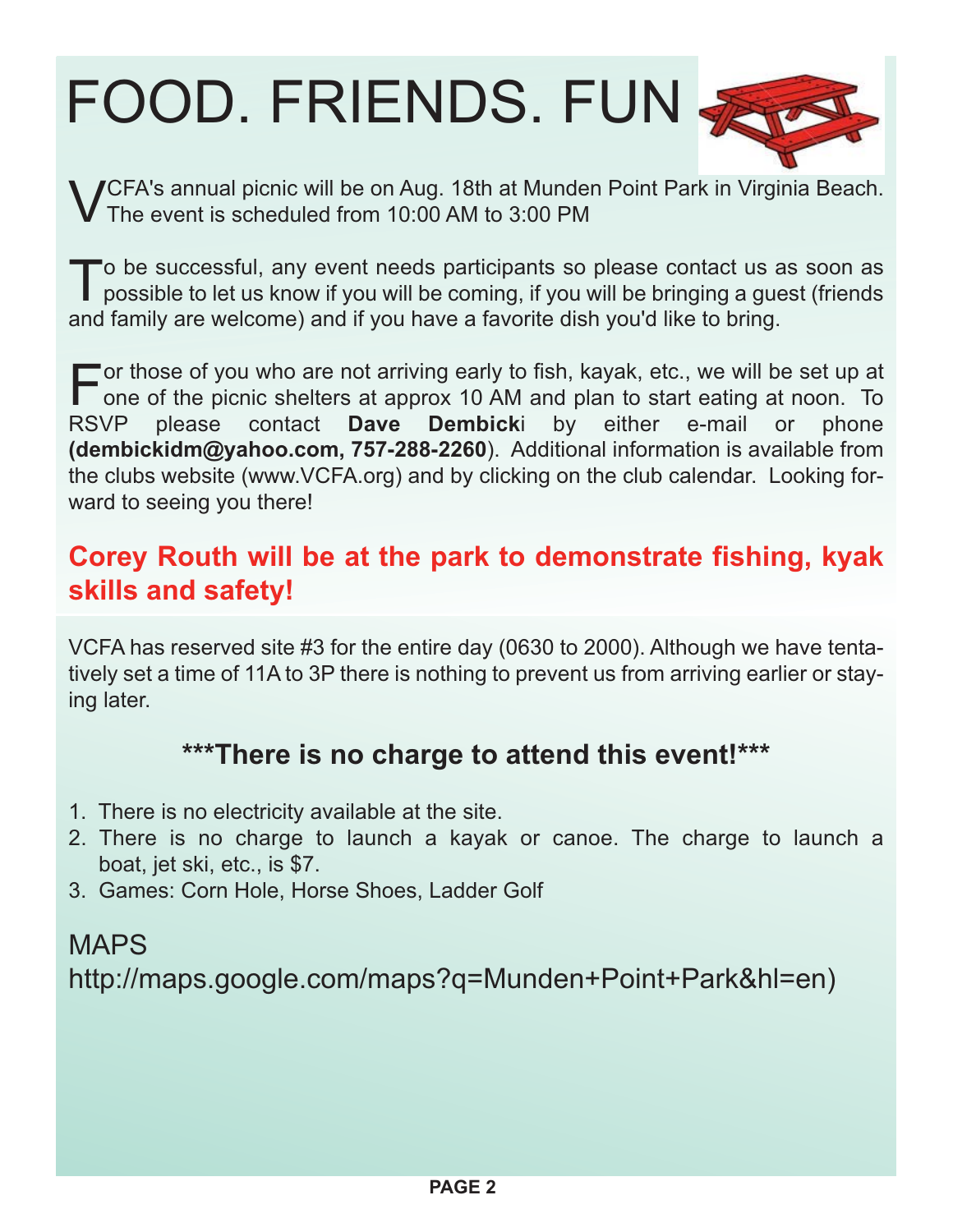# FOOD. FRIENDS. FUN



VCFA's annual picnic will be on Aug. 18th at Munden Point Park in Virginia Beach. The event is scheduled from 10:00 AM to 3:00 PM

To be successful, any event needs participants so please contact us as soon as possible to let us know if you will be coming, if you will be bringing a guest (friends and family are welcome) and if you have a favorite dish you'd like to bring.

For those of you who are not arriving early to fish, kayak, etc., we will be set up at<br>one of the picnic shelters at approx 10 AM and plan to start eating at noon. To<br>RSVP please contact **Dave Dembicki** by either e-mail or  $\Gamma$  one of the picnic shelters at approx 10 AM and plan to start eating at noon. To **Dembicki** by either e-mail **(dembickidm@yahoo.com, 757-288-2260**). Additional information is available from the clubs website (www.VCFA.org) and by clicking on the club calendar. Looking forward to seeing you there!

### **Corey Routh will be at the park to demonstrate fishing, kyak skills and safety!**

VCFA has reserved site #3 for the entire day (0630 to 2000). Although we have tentatively set a time of 11A to 3P there is nothing to prevent us from arriving earlier or staying later.

#### **\*\*\*There is no charge to attend this event!\*\*\***

- 1. There is no electricity available at the site.
- 2. There is no charge to launch a kayak or canoe. The charge to launch a boat, jet ski, etc., is \$7.
- 3. Games: Corn Hole, Horse Shoes, Ladder Golf

## MAPS http://maps.google.com/maps?q=Munden+Point+Park&hl=en)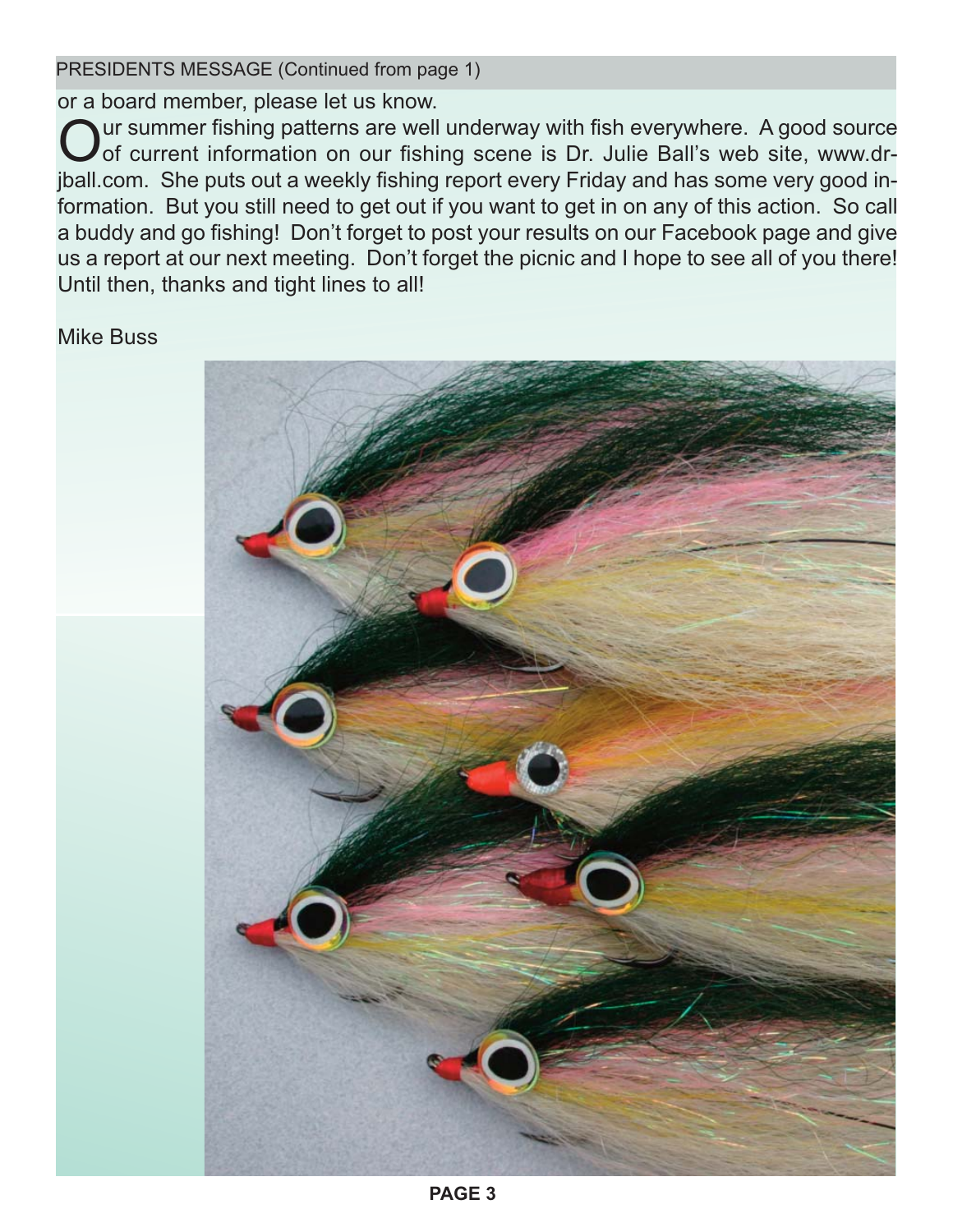PRESIDENTS MESSAGE (Continued from page 1)

or a board member, please let us know.

Our summer fishing patterns are well underway with fish everywhere. A good source<br>of current information on our fishing scene is Dr. Julie Ball's web site, www.drjball.com. She puts out a weekly fishing report every Friday and has some very good information. But you still need to get out if you want to get in on any of this action. So call a buddy and go fishing! Don't forget to post your results on our Facebook page and give us a report at our next meeting. Don't forget the picnic and I hope to see all of you there! Until then, thanks and tight lines to all!

#### Mike Buss

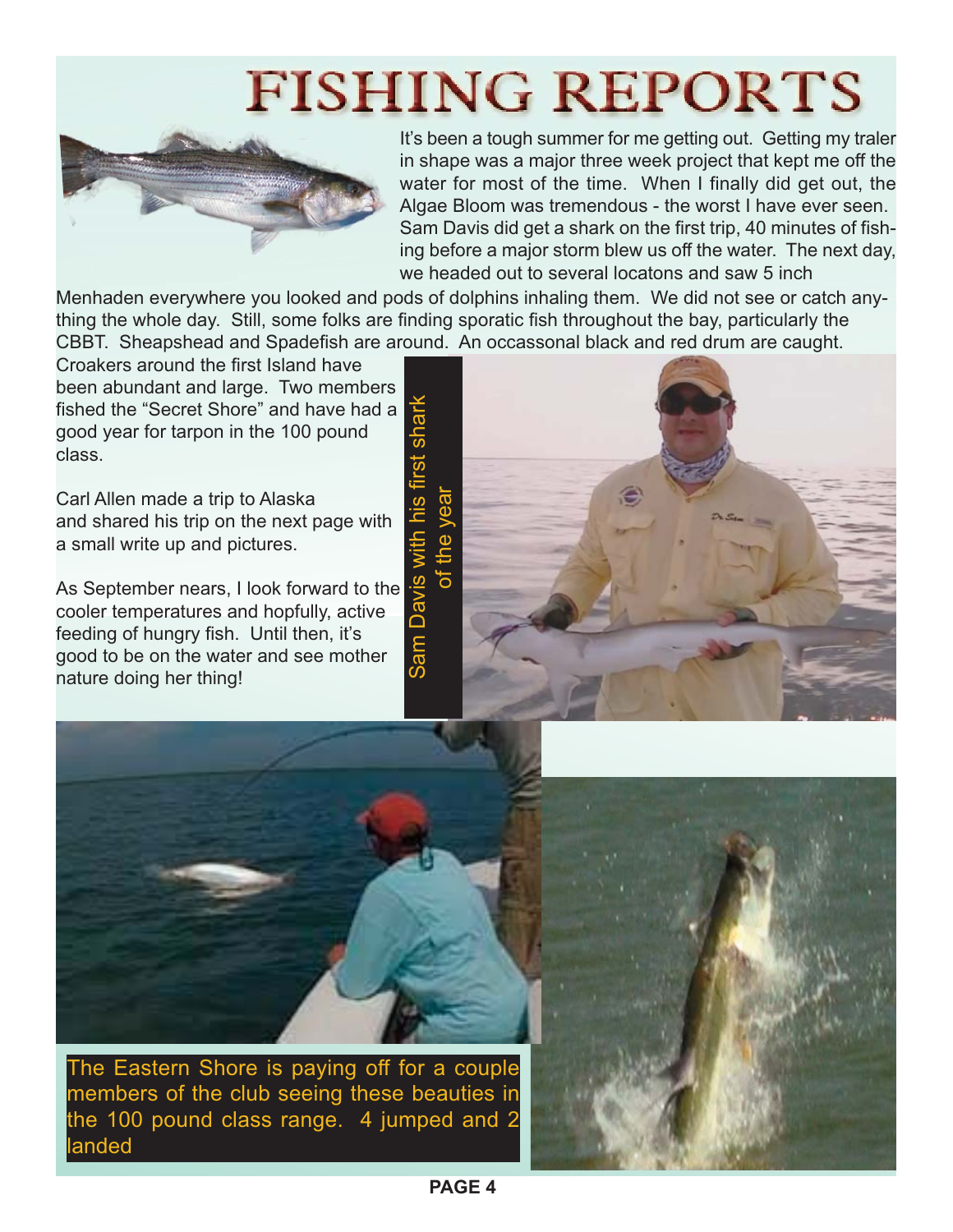# **FISHING REPORTS**



It's been a tough summer for me getting out. Getting my traler in shape was a major three week project that kept me off the water for most of the time. When I finally did get out, the Algae Bloom was tremendous - the worst I have ever seen. Sam Davis did get a shark on the first trip, 40 minutes of fishing before a major storm blew us off the water. The next day, we headed out to several locatons and saw 5 inch

Menhaden everywhere you looked and pods of dolphins inhaling them. We did not see or catch anything the whole day. Still, some folks are finding sporatic fish throughout the bay, particularly the CBBT. Sheapshead and Spadefish are around. An occassonal black and red drum are caught.

Croakers around the first Island have been abundant and large. Two members fished the "Secret Shore" and have had a good year for tarpon in the 100 pound class.

Carl Allen made a trip to Alaska and shared his trip on the next page with a small write up and pictures.

As September nears, I look forward to the cooler temperatures and hopfully, active feeding of hungry fish. Until then, it's good to be on the water and see mother nature doing her thing!





The Eastern Shore is paying off for a couple members of the club seeing these beauties in the 100 pound class range. 4 jumped and 2 landed

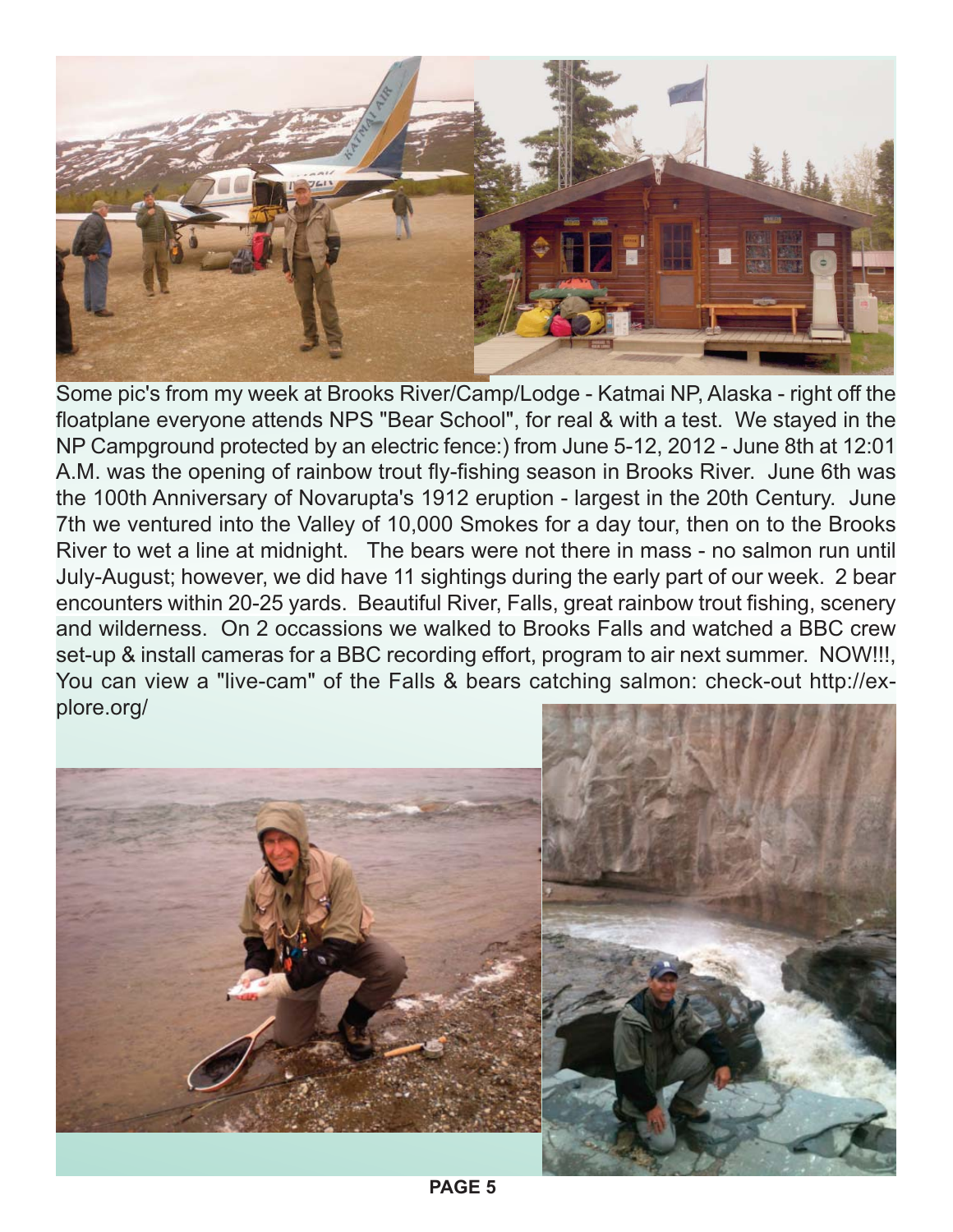

Some pic's from my week at Brooks River/Camp/Lodge - Katmai NP, Alaska - right off the floatplane everyone attends NPS "Bear School", for real & with a test. We stayed in the NP Campground protected by an electric fence:) from June 5-12, 2012 - June 8th at 12:01 A.M. was the opening of rainbow trout fly-fishing season in Brooks River. June 6th was the 100th Anniversary of Novarupta's 1912 eruption - largest in the 20th Century. June 7th we ventured into the Valley of 10,000 Smokes for a day tour, then on to the Brooks River to wet a line at midnight. The bears were not there in mass - no salmon run until July-August; however, we did have 11 sightings during the early part of our week. 2 bear encounters within 20-25 yards. Beautiful River, Falls, great rainbow trout fishing, scenery and wilderness. On 2 occassions we walked to Brooks Falls and watched a BBC crew set-up & install cameras for a BBC recording effort, program to air next summer. NOW!!!, You can view a "live-cam" of the Falls & bears catching salmon: check-out http://explore.org/